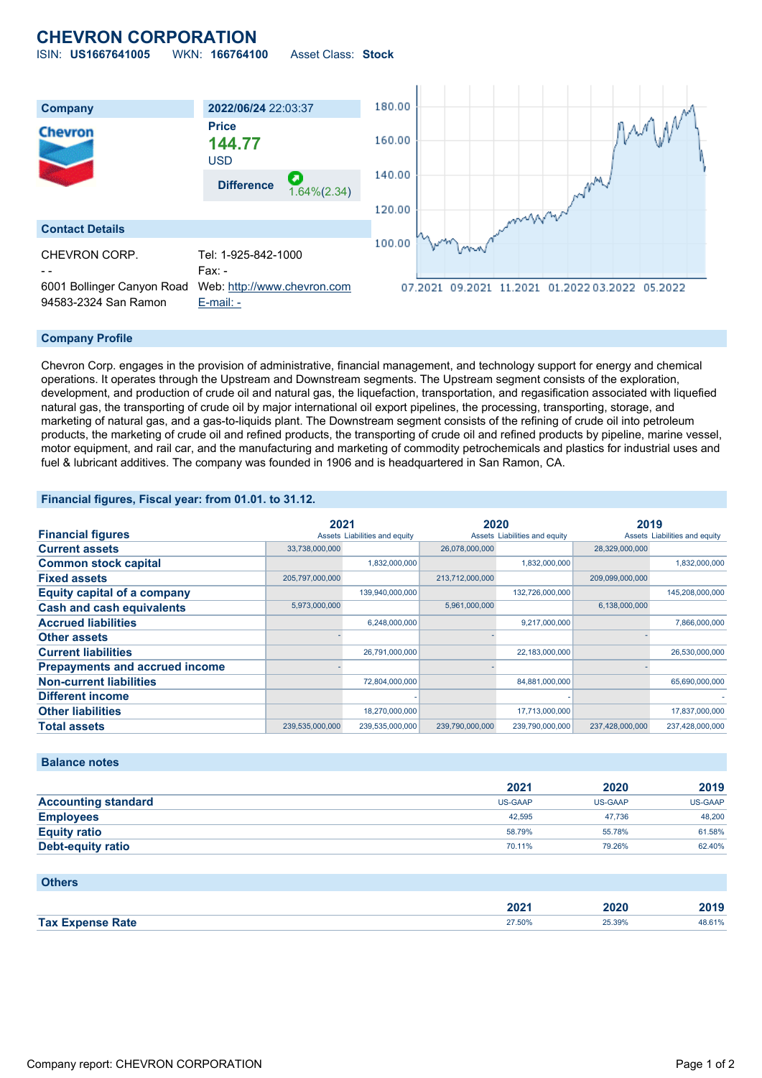## **CHEVRON CORPORATION** ISIN: **US1667641005** WKN: **166764100** Asset Class: **Stock**

180.00 **Company 2022/06/24** 22:03:37 **Price** Chevron 160.00 **144.77** USD 140.00 **Difference** 1.64%(2.34) 120.00 **Contact Details** 100.00 CHEVRON CORP. Tel: 1-925-842-1000 Fax: -6001 Bollinger Canyon Road Web: [http://www.chevron.com](http://www.chevron.com/) 07.2021 09.2021 11.2021 01.2022 03.2022 05.2022 94583-2324 San Ramon [E-mail: -](mailto:-)

### **Company Profile**

Chevron Corp. engages in the provision of administrative, financial management, and technology support for energy and chemical operations. It operates through the Upstream and Downstream segments. The Upstream segment consists of the exploration, development, and production of crude oil and natural gas, the liquefaction, transportation, and regasification associated with liquefied natural gas, the transporting of crude oil by major international oil export pipelines, the processing, transporting, storage, and marketing of natural gas, and a gas-to-liquids plant. The Downstream segment consists of the refining of crude oil into petroleum products, the marketing of crude oil and refined products, the transporting of crude oil and refined products by pipeline, marine vessel, motor equipment, and rail car, and the manufacturing and marketing of commodity petrochemicals and plastics for industrial uses and fuel & lubricant additives. The company was founded in 1906 and is headquartered in San Ramon, CA.

### **Financial figures, Fiscal year: from 01.01. to 31.12.**

|                                       |                 | 2021                          |                 | 2020                          |                 | 2019                          |  |
|---------------------------------------|-----------------|-------------------------------|-----------------|-------------------------------|-----------------|-------------------------------|--|
| <b>Financial figures</b>              |                 | Assets Liabilities and equity |                 | Assets Liabilities and equity |                 | Assets Liabilities and equity |  |
| <b>Current assets</b>                 | 33,738,000,000  |                               | 26,078,000,000  |                               | 28,329,000,000  |                               |  |
| <b>Common stock capital</b>           |                 | 1,832,000,000                 |                 | 1,832,000,000                 |                 | 1,832,000,000                 |  |
| <b>Fixed assets</b>                   | 205,797,000,000 |                               | 213,712,000,000 |                               | 209,099,000,000 |                               |  |
| <b>Equity capital of a company</b>    |                 | 139,940,000,000               |                 | 132,726,000,000               |                 | 145,208,000,000               |  |
| <b>Cash and cash equivalents</b>      | 5,973,000,000   |                               | 5,961,000,000   |                               | 6,138,000,000   |                               |  |
| <b>Accrued liabilities</b>            |                 | 6,248,000,000                 |                 | 9,217,000,000                 |                 | 7,866,000,000                 |  |
| <b>Other assets</b>                   |                 |                               |                 |                               |                 |                               |  |
| <b>Current liabilities</b>            |                 | 26,791,000,000                |                 | 22,183,000,000                |                 | 26,530,000,000                |  |
| <b>Prepayments and accrued income</b> |                 |                               |                 |                               |                 |                               |  |
| <b>Non-current liabilities</b>        |                 | 72,804,000,000                |                 | 84,881,000,000                |                 | 65,690,000,000                |  |
| <b>Different income</b>               |                 |                               |                 |                               |                 |                               |  |
| <b>Other liabilities</b>              |                 | 18,270,000,000                |                 | 17,713,000,000                |                 | 17,837,000,000                |  |
| <b>Total assets</b>                   | 239,535,000,000 | 239,535,000,000               | 239,790,000,000 | 239,790,000,000               | 237,428,000,000 | 237,428,000,000               |  |

### **Balance notes**

|                            | 2021           | 2020           | 2019           |
|----------------------------|----------------|----------------|----------------|
| <b>Accounting standard</b> | <b>US-GAAP</b> | <b>US-GAAP</b> | <b>US-GAAP</b> |
| <b>Employees</b>           | 42.595         | 47.736         | 48,200         |
| <b>Equity ratio</b>        | 58.79%         | 55.78%         | 61.58%         |
| <b>Debt-equity ratio</b>   | 70.11%         | 79.26%         | 62.40%         |

#### **Others**

|                                | 2021   | חרחר<br>∠020<br>____ | 2019            |
|--------------------------------|--------|----------------------|-----------------|
| <b>Expense Rate</b><br>Tax $E$ | 27.50% | 25.39%               | 0.401<br>48.61% |